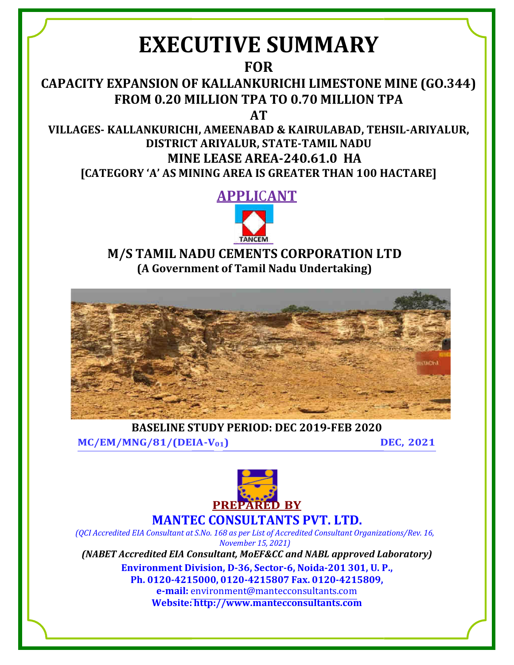# **EXECUTIVE SUMMARY**

**[FOR](mailto:environment@mantecconsultants.com)** 

**CAPACITY EXPANSION OF KALLANKURICHI LIMESTONE MINE (GO.344) FROM 0.20 MILLION TPA TO 0.70 MILLION TPA** 

**AT**

**VILLAGES- KALLANKURICHI, AMEENABAD & KAIRULABAD, TEHSIL-ARIYALUR, DISTRICT ARIYALUR, STATE-TAMIL NADU MINE LEASE AREA-240.61.0 HA [CATEGORY 'A' AS MINING AREA IS GREATER THAN 100 HACTARE]** 

**APPLI**C**ANT**



# **M/S TAMIL NADU CEMENTS CORPORATION LTD (A Government of Tamil Nadu Undertaking)**



**BASELINE STUDY PERIOD: DEC 2019-FEB 2020**

**MC/EM/MNG/81/(DEIA-V01) DEC, 2021**



**MANTEC CONSULTANTS PVT. LTD.**

*(QCI Accredited EIA Consultant at S.No. 168 as per List of Accredited Consultant Organizations/Rev. 16, November 15, 2021)*

*(NABET Accredited EIA Consultant, MoEF&CC and NABL approved Laboratory)* 

**Environment Division, D-36, Sector-6, Noida-201 301, U. P., Ph. 0120-4215000, 0120-4215807 Fax. 0120-4215809, e-mail:** [environment@mantecconsultants.com](mailto:environment@mantecconsultants.com)  **Website[: http://www.mantecconsultants.com](http://www.mantecconsultants.com/)**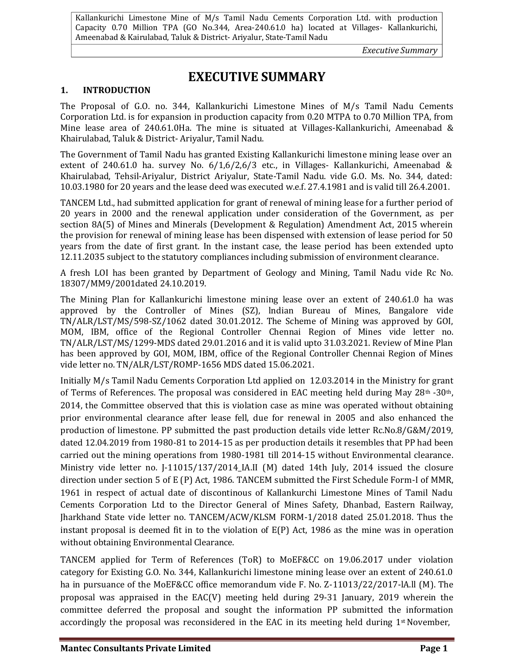*Executive Summary* 

# **EXECUTIVE SUMMARY**

# **1. INTRODUCTION**

The Proposal of G.O. no. 344, Kallankurichi Limestone Mines of M/s Tamil Nadu Cements Corporation Ltd. is for expansion in production capacity from 0.20 MTPA to 0.70 Million TPA, from Mine lease area of 240.61.0Ha. The mine is situated at Villages-Kallankurichi, Ameenabad & Khairulabad, Taluk & District- Ariyalur, Tamil Nadu.

The Government of Tamil Nadu has granted Existing Kallankurichi limestone mining lease over an extent of 240.61.0 ha. survey No. 6/1,6/2,6/3 etc., in Villages- Kallankurichi, Ameenabad & Khairulabad, Tehsil-Ariyalur, District Ariyalur, State-Tamil Nadu. vide G.O. Ms. No. 344, dated: 10.03.1980 for 20 years and the lease deed was executed w.e.f. 27.4.1981 and is valid till 26.4.2001.

TANCEM Ltd., had submitted application for grant of renewal of mining lease for a further period of 20 years in 2000 and the renewal application under consideration of the Government, as per section 8A(5) of Mines and Minerals (Development & Regulation) Amendment Act, 2015 wherein the provision for renewal of mining lease has been dispensed with extension of lease period for 50 years from the date of first grant. In the instant case, the lease period has been extended upto 12.11.2035 subject to the statutory compliances including submission of environment clearance.

A fresh LOI has been granted by Department of Geology and Mining, Tamil Nadu vide Rc No. 18307/MM9/2001dated 24.10.2019.

The Mining Plan for Kallankurichi limestone mining lease over an extent of 240.61.0 ha was approved by the Controller of Mines (SZ), lndian Bureau of Mines, Bangalore vide TN/ALR/LST/MS/598-SZ/1062 dated 30.01.2012. The Scheme of Mining was approved by GOI, MOM, IBM, office of the Regional Controller Chennai Region of Mines vide letter no. TN/ALR/LST/MS/1299-MDS dated 29.01.2016 and it is valid upto 31.03.2021. Review of Mine Plan has been approved by GOI, MOM, IBM, office of the Regional Controller Chennai Region of Mines vide letter no. TN/ALR/LST/ROMP-1656 MDS dated 15.06.2021.

Initially M/s Tamil Nadu Cements Corporation Ltd applied on 12.03.2014 in the Ministry for grant of Terms of References. The proposal was considered in EAC meeting held during May  $28th - 30th$ , 2014, the Committee observed that this is violation case as mine was operated without obtaining prior environmental clearance after lease fell, due for renewal in 2005 and also enhanced the production of limestone. PP submitted the past production details vide letter Rc.No.8/G&M/2019, dated 12.04.2019 from 1980-81 to 2014-15 as per production details it resembles that PP had been carried out the mining operations from 1980-1981 till 2014-15 without Environmental clearance. Ministry vide letter no. J-11015/137/2014 IA.II (M) dated 14th July, 2014 issued the closure direction under section 5 of E (P) Act, 1986. TANCEM submitted the First Schedule Form-I of MMR, 1961 in respect of actual date of discontinous of Kallankurchi Limestone Mines of Tamil Nadu Cements Corporation Ltd to the Director General of Mines Safety, Dhanbad, Eastern Railway, Jharkhand State vide letter no. TANCEM/ACW/KLSM FORM-1/2018 dated 25.01.2018. Thus the instant proposal is deemed fit in to the violation of E(P) Act, 1986 as the mine was in operation without obtaining Environmental Clearance.

TANCEM applied for Term of References (ToR) to MoEF&CC on 19.06.2017 under violation category for Existing G.O. No. 344, Kallankurichi limestone mining lease over an extent of 240.61.0 ha in pursuance of the MoEF&CC office memorandum vide F. No. Z-11013/22/2017-lA.ll (M). The proposal was appraised in the EAC(V) meeting held during 29-31 January, 2019 wherein the committee deferred the proposal and sought the information PP submitted the information accordingly the proposal was reconsidered in the EAC in its meeting held during  $1<sup>st</sup>$  November,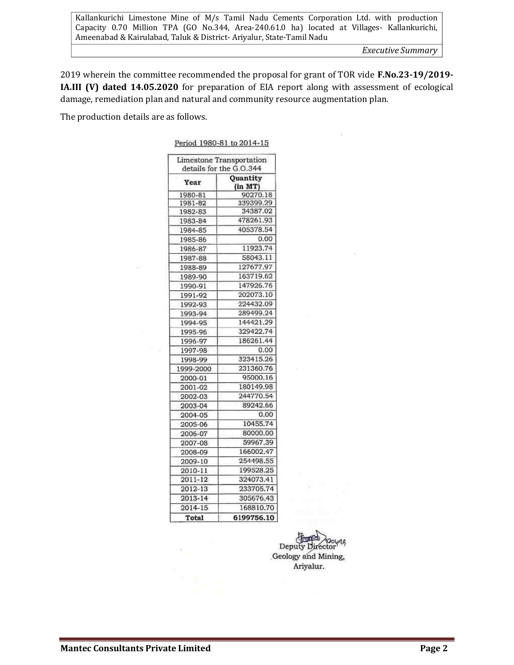*Executive Summary* 

15

2019 wherein the committee recommended the proposal for grant of TOR vide **F.No.23-19/2019- IA.III (V) dated 14.05.2020** for preparation of EIA report along with assessment of ecological damage, remediation plan and natural and community resource augmentation plan.

The production details are as follows.

|           | Limestone Transportation<br>details for the G.O.344 |
|-----------|-----------------------------------------------------|
| Year      | Quantity<br>(in MT)                                 |
| 1980-81   | 90270.18                                            |
| 1981-82   | 339399.29                                           |
| 1982-83   | 34387.02                                            |
| 1983-84   | 478261.93                                           |
| 1984-85   | 405378.54                                           |
| 1985-86   | 0.00                                                |
| 1986-87   | 11923.74                                            |
| 1987-88   | 58043.11                                            |
| 1988-89   | 127677.97                                           |
| 1989-90   | 163719.62                                           |
| 1990-91   | 147926.76                                           |
| 1991-92   | 202073.10                                           |
| 1992-93   | 224432.09                                           |
| 1993-94   | 289499.24                                           |
| 1994-95   | 144421.29                                           |
| 1995-96   | 329422.74                                           |
| 1996-97   | 186261.44                                           |
| 1997-98   | 0.00                                                |
| 1998-99   | 323415.26                                           |
| 1999-2000 | 231360.76                                           |
| 2000-01   | 95000.16                                            |
| 2001-02   | 180149.98                                           |
| 2002-03   | 244770.54                                           |
| 2003-04   | 89242.66                                            |
| 2004-05   | 0.00                                                |
| 2005-06   | 10455.74                                            |
| 2006-07   | 80000.00                                            |
| 2007-08   | 59967.39                                            |
| 2008-09   | 166002.47                                           |
| 2009-10   | 254498.55                                           |
| 2010-11   | 199528.25                                           |
| 2011-12   | 324073.41                                           |
| 2012-13   | 233705.74                                           |
| 2013-14   | 305676.43                                           |
| 2014-15   | 168810.70                                           |
| Total     | 6199756.10                                          |

Period 1980-81 to 2014-15

Deputy Director Geology and Mining, Ariyalur.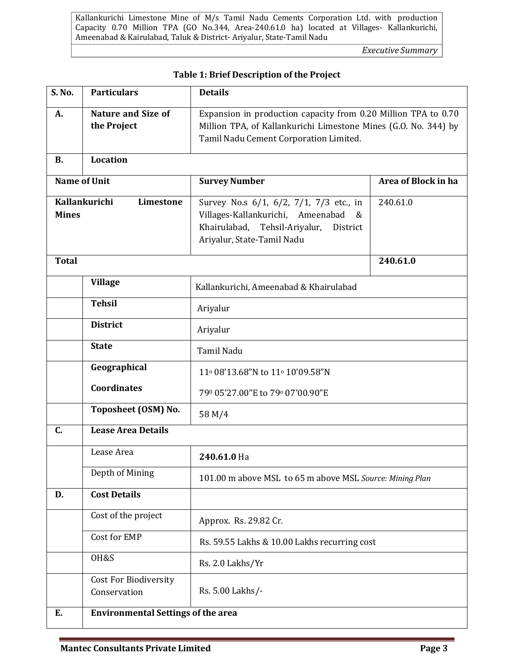*Executive Summary* 

| S. No.              | <b>Particulars</b>                           | <b>Details</b>                                                                                                                                                              |                     |  |
|---------------------|----------------------------------------------|-----------------------------------------------------------------------------------------------------------------------------------------------------------------------------|---------------------|--|
| А.                  | <b>Nature and Size of</b><br>the Project     | Expansion in production capacity from 0.20 Million TPA to 0.70<br>Million TPA, of Kallankurichi Limestone Mines (G.O. No. 344) by<br>Tamil Nadu Cement Corporation Limited. |                     |  |
| <b>B.</b>           | Location                                     |                                                                                                                                                                             |                     |  |
| <b>Name of Unit</b> |                                              | <b>Survey Number</b>                                                                                                                                                        | Area of Block in ha |  |
| <b>Mines</b>        | Kallankurichi<br>Limestone                   | Survey No.s 6/1, 6/2, 7/1, 7/3 etc., in<br>Villages-Kallankurichi, Ameenabad<br>&<br>Khairulabad,<br>Tehsil-Ariyalur,<br>District<br>Ariyalur, State-Tamil Nadu             | 240.61.0            |  |
| <b>Total</b>        |                                              |                                                                                                                                                                             | 240.61.0            |  |
|                     | <b>Village</b>                               | Kallankurichi, Ameenabad & Khairulabad                                                                                                                                      |                     |  |
|                     | <b>Tehsil</b>                                | Ariyalur                                                                                                                                                                    |                     |  |
|                     | <b>District</b>                              | Ariyalur                                                                                                                                                                    |                     |  |
|                     | <b>State</b>                                 | Tamil Nadu                                                                                                                                                                  |                     |  |
|                     | Geographical                                 | 11º 08'13.68"N to 11º 10'09.58"N                                                                                                                                            |                     |  |
|                     | <b>Coordinates</b>                           | 790 05'27.00"E to 790 07'00.90"E                                                                                                                                            |                     |  |
|                     | Toposheet (OSM) No.                          | 58 M/4                                                                                                                                                                      |                     |  |
| C.                  | <b>Lease Area Details</b>                    |                                                                                                                                                                             |                     |  |
|                     | Lease Area                                   | 240.61.0 Ha                                                                                                                                                                 |                     |  |
|                     | Depth of Mining                              | 101.00 m above MSL to 65 m above MSL Source: Mining Plan                                                                                                                    |                     |  |
| D.                  | <b>Cost Details</b>                          |                                                                                                                                                                             |                     |  |
|                     | Cost of the project                          | Approx. Rs. 29.82 Cr.                                                                                                                                                       |                     |  |
|                     | Cost for EMP                                 | Rs. 59.55 Lakhs & 10.00 Lakhs recurring cost                                                                                                                                |                     |  |
|                     | OH&S                                         | Rs. 2.0 Lakhs/Yr                                                                                                                                                            |                     |  |
|                     | <b>Cost For Biodiversity</b><br>Conservation | Rs. 5.00 Lakhs/-                                                                                                                                                            |                     |  |
| E.                  | <b>Environmental Settings of the area</b>    |                                                                                                                                                                             |                     |  |

# **Table 1: Brief Description of the Project**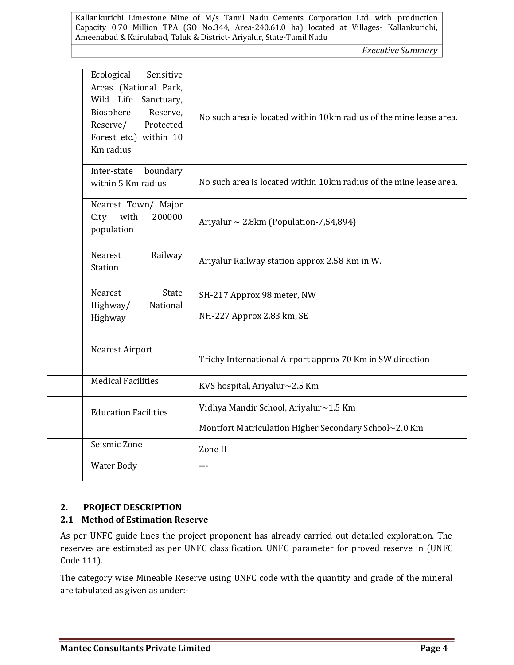*Executive Summary* 

| Ecological<br>Sensitive<br>Areas (National Park,<br>Wild Life Sanctuary,<br>Biosphere<br>Reserve,<br>Reserve/<br>Protected<br>Forest etc.) within 10<br>Km radius | No such area is located within 10km radius of the mine lease area. |
|-------------------------------------------------------------------------------------------------------------------------------------------------------------------|--------------------------------------------------------------------|
| Inter-state<br>boundary<br>within 5 Km radius                                                                                                                     | No such area is located within 10km radius of the mine lease area. |
| Nearest Town/ Major<br>with<br>200000<br>City<br>population                                                                                                       | Ariyalur ~ 2.8km (Population-7,54,894)                             |
| Nearest<br>Railway<br><b>Station</b>                                                                                                                              | Ariyalur Railway station approx 2.58 Km in W.                      |
| Nearest<br>State                                                                                                                                                  | SH-217 Approx 98 meter, NW                                         |
| Highway/<br>National                                                                                                                                              |                                                                    |
| Highway                                                                                                                                                           | NH-227 Approx 2.83 km, SE                                          |
| Nearest Airport                                                                                                                                                   | Trichy International Airport approx 70 Km in SW direction          |
| <b>Medical Facilities</b>                                                                                                                                         | KVS hospital, Ariyalur~2.5 Km                                      |
| <b>Education Facilities</b>                                                                                                                                       | Vidhya Mandir School, Ariyalur~1.5 Km                              |
|                                                                                                                                                                   | Montfort Matriculation Higher Secondary School~2.0 Km              |
| Seismic Zone                                                                                                                                                      | Zone II                                                            |
| <b>Water Body</b>                                                                                                                                                 | $- - -$                                                            |

# **2. PROJECT DESCRIPTION**

# **2.1 Method of Estimation Reserve**

As per UNFC guide lines the project proponent has already carried out detailed exploration. The reserves are estimated as per UNFC classification. UNFC parameter for proved reserve in (UNFC Code 111).

The category wise Mineable Reserve using UNFC code with the quantity and grade of the mineral are tabulated as given as under:-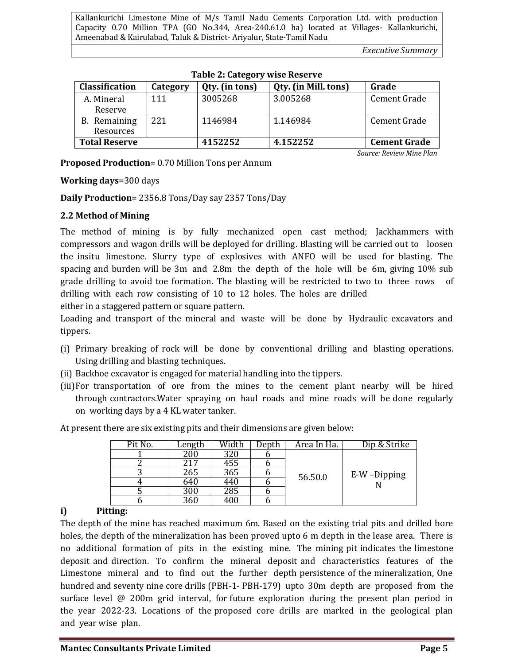*Executive Summary* 

*Source: Review Mine Plan* 

| <b>Classification</b> | Category | Qty. (in tons) | Qty. (in Mill. tons) | Grade               |
|-----------------------|----------|----------------|----------------------|---------------------|
| A. Mineral            | 111      | 3005268        | 3.005268             | Cement Grade        |
| Reserve               |          |                |                      |                     |
| B. Remaining          | 221      | 1146984        | 1.146984             | Cement Grade        |
| Resources             |          |                |                      |                     |
| <b>Total Reserve</b>  |          | 4152252        | 4.152252             | <b>Cement Grade</b> |

**Proposed Production**= 0.70 Million Tons per Annum

**Working days**=300 days

**Daily Production**= 2356.8 Tons/Day say 2357 Tons/Day

# **2.2 Method of Mining**

The method of mining is by fully mechanized open cast method; Jackhammers with compressors and wagon drills will be deployed for drilling. Blasting will be carried out to loosen the insitu limestone. Slurry type of explosives with ANFO will be used for blasting. The spacing and burden will be 3m and 2.8m the depth of the hole will be 6m, giving 10% sub grade drilling to avoid toe formation. The blasting will be restricted to two to three rows of drilling with each row consisting of 10 to 12 holes. The holes are drilled

either in a staggered pattern or square pattern.

Loading and transport of the mineral and waste will be done by Hydraulic excavators and tippers.

- (i) Primary breaking of rock will be done by conventional drilling and blasting operations. Using drilling and blasting techniques.
- (ii) Backhoe excavator is engaged for material handling into the tippers.
- (iii)For transportation of ore from the mines to the cement plant nearby will be hired through contractors.Water spraying on haul roads and mine roads will be done regularly on working days by a 4 KL water tanker.

| Pit No. | Length | Width | Depth | Area In Ha. | Dip & Strike |
|---------|--------|-------|-------|-------------|--------------|
|         | 200    | 320   |       |             |              |
|         | 217    | 455   |       |             |              |
|         | 265    | 365   |       | 56.50.0     | E-W-Dipping  |
|         | 640    | 440   |       |             |              |
|         | 300    | 285   |       |             |              |
|         | 360    | 400   |       |             |              |

At present there are six existing pits and their dimensions are given below:

# **i) Pitting:**

The depth of the mine has reached maximum 6m. Based on the existing trial pits and drilled bore holes, the depth of the mineralization has been proved upto 6 m depth in the lease area. There is no additional formation of pits in the existing mine. The mining pit indicates the limestone deposit and direction. To confirm the mineral deposit and characteristics features of the Limestone mineral and to find out the further depth persistence of the mineralization, One hundred and seventy nine core drills (PBH-1- PBH-179) upto 30m depth are proposed from the surface level @ 200m grid interval, for future exploration during the present plan period in the year 2022-23. Locations of the proposed core drills are marked in the geological plan and year wise plan.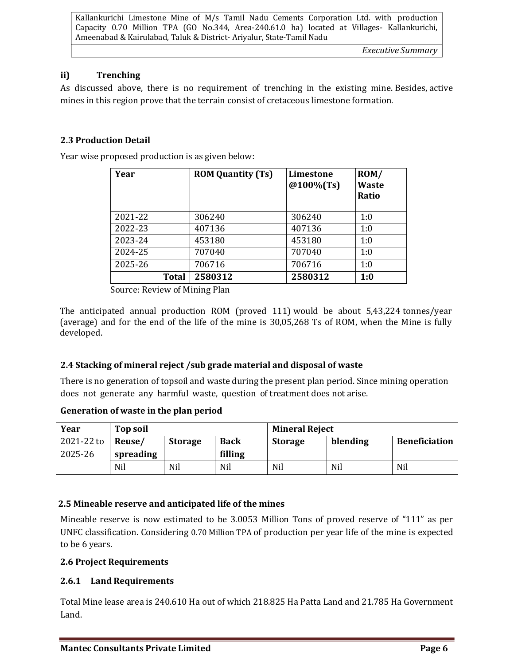# **ii) Trenching**

As discussed above, there is no requirement of trenching in the existing mine. Besides, active mines in this region prove that the terrain consist of cretaceous limestone formation.

### **2.3 Production Detail**

Year wise proposed production is as given below:

| Year         | <b>ROM Quantity (Ts)</b> | Limestone<br>@100%(Ts) | ROM/<br><b>Waste</b><br>Ratio |
|--------------|--------------------------|------------------------|-------------------------------|
| 2021-22      | 306240                   | 306240                 | 1:0                           |
| 2022-23      | 407136                   | 407136                 | 1:0                           |
| 2023-24      | 453180                   | 453180                 | 1:0                           |
| 2024-25      | 707040                   | 707040                 | 1:0                           |
| 2025-26      | 706716                   | 706716                 | 1:0                           |
| <b>Total</b> | 2580312                  | 2580312                | 1:0                           |

Source: Review of Mining Plan

The anticipated annual production ROM (proved 111) would be about 5,43,224 tonnes/year (average) and for the end of the life of the mine is 30,05,268 Ts of ROM, when the Mine is fully developed.

# **2.4 Stacking of mineral reject /sub grade material and disposal of waste**

There is no generation of topsoil and waste during the present plan period. Since mining operation does not generate any harmful waste, question of treatment does not arise.

#### **Generation of waste in the plan period**

| Year       | Top soil  |                |             | <b>Mineral Reject</b> |          |                      |
|------------|-----------|----------------|-------------|-----------------------|----------|----------------------|
| 2021-22 to | Reuse/    | <b>Storage</b> | <b>Back</b> | Storage               | blending | <b>Beneficiation</b> |
| 2025-26    | spreading |                | filling     |                       |          |                      |
|            | Nil       | Nil            | Nil         | Nil                   | Nil      | Nil                  |

#### **2.5 Mineable reserve and anticipated life of the mines**

Mineable reserve is now estimated to be 3.0053 Million Tons of proved reserve of "111" as per UNFC classification. Considering 0.70 Million TPA of production per year life of the mine is expected to be 6 years.

#### **2.6 Project Requirements**

#### **2.6.1 Land Requirements**

Total Mine lease area is 240.610 Ha out of which 218.825 Ha Patta Land and 21.785 Ha Government Land.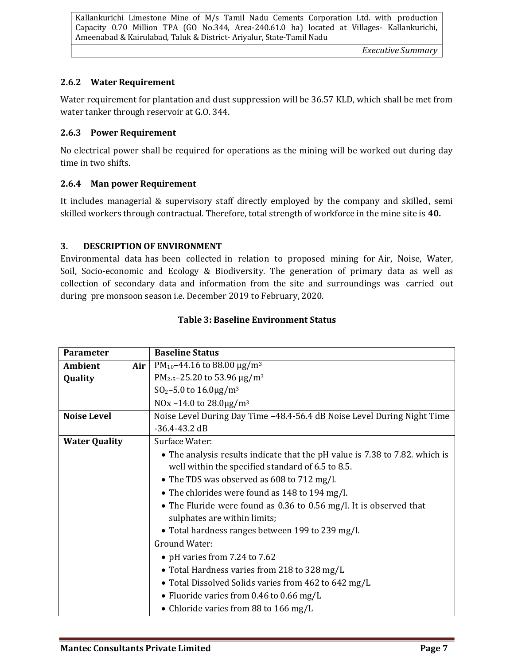*Executive Summary* 

#### **2.6.2 Water Requirement**

Water requirement for plantation and dust suppression will be 36.57 KLD, which shall be met from water tanker through reservoir at G.O. 344.

#### **2.6.3 Power Requirement**

No electrical power shall be required for operations as the mining will be worked out during day time in two shifts.

#### **2.6.4 Man power Requirement**

It includes managerial & supervisory staff directly employed by the company and skilled, semi skilled workers through contractual. Therefore, total strength of workforce in the mine site is **40.**

#### **3. DESCRIPTION OF ENVIRONMENT**

Environmental data has been collected in relation to proposed mining for Air, Noise, Water, Soil, Socio-economic and Ecology & Biodiversity. The generation of primary data as well as collection of secondary data and information from the site and surroundings was carried out during pre monsoon season i.e. December 2019 to February, 2020.

| <b>Parameter</b>      | <b>Baseline Status</b>                                                      |  |  |  |
|-----------------------|-----------------------------------------------------------------------------|--|--|--|
| <b>Ambient</b><br>Air | PM <sub>10</sub> -44.16 to 88.00 $\mu$ g/m <sup>3</sup>                     |  |  |  |
| Quality               | PM <sub>2-5</sub> -25.20 to 53.96 $\mu$ g/m <sup>3</sup>                    |  |  |  |
|                       | $SO_2 - 5.0$ to $16.0 \mu g/m^3$                                            |  |  |  |
|                       | NOx -14.0 to 28.0 $\mu$ g/m <sup>3</sup>                                    |  |  |  |
| <b>Noise Level</b>    | Noise Level During Day Time -48.4-56.4 dB Noise Level During Night Time     |  |  |  |
|                       | $-36.4 - 43.2$ dB                                                           |  |  |  |
| <b>Water Quality</b>  | Surface Water:                                                              |  |  |  |
|                       | • The analysis results indicate that the pH value is 7.38 to 7.82. which is |  |  |  |
|                       | well within the specified standard of 6.5 to 8.5.                           |  |  |  |
|                       | • The TDS was observed as 608 to 712 mg/l.                                  |  |  |  |
|                       | • The chlorides were found as 148 to 194 mg/l.                              |  |  |  |
|                       | • The Fluride were found as 0.36 to 0.56 mg/l. It is observed that          |  |  |  |
|                       | sulphates are within limits;                                                |  |  |  |
|                       | • Total hardness ranges between 199 to 239 mg/l.                            |  |  |  |
|                       | <b>Ground Water:</b>                                                        |  |  |  |
|                       | • pH varies from 7.24 to 7.62                                               |  |  |  |
|                       | • Total Hardness varies from 218 to 328 mg/L                                |  |  |  |
|                       | • Total Dissolved Solids varies from 462 to 642 mg/L                        |  |  |  |
|                       | • Fluoride varies from 0.46 to 0.66 mg/L                                    |  |  |  |
|                       | • Chloride varies from 88 to 166 mg/L                                       |  |  |  |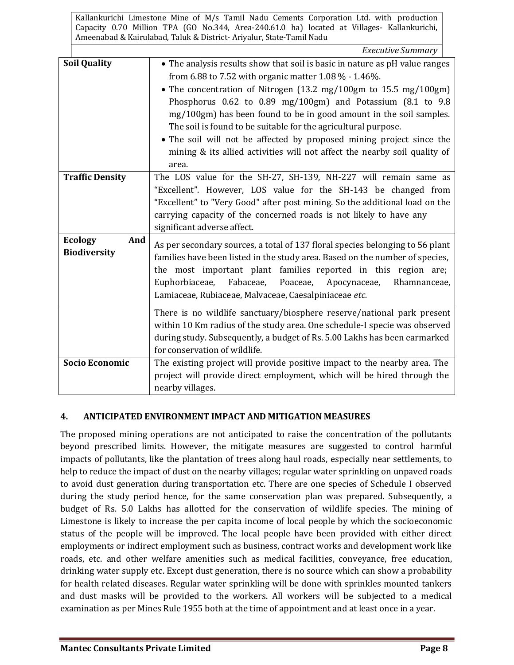|                                              | <b>Executive Summary</b>                                                      |  |
|----------------------------------------------|-------------------------------------------------------------------------------|--|
| <b>Soil Quality</b>                          | • The analysis results show that soil is basic in nature as pH value ranges   |  |
|                                              | from 6.88 to 7.52 with organic matter $1.08\%$ - $1.46\%$ .                   |  |
|                                              | • The concentration of Nitrogen (13.2 mg/100gm to 15.5 mg/100gm)              |  |
|                                              | Phosphorus 0.62 to 0.89 mg/100gm) and Potassium (8.1 to 9.8                   |  |
|                                              | mg/100gm) has been found to be in good amount in the soil samples.            |  |
|                                              | The soil is found to be suitable for the agricultural purpose.                |  |
|                                              | • The soil will not be affected by proposed mining project since the          |  |
|                                              | mining & its allied activities will not affect the nearby soil quality of     |  |
|                                              | area.                                                                         |  |
| <b>Traffic Density</b>                       | The LOS value for the SH-27, SH-139, NH-227 will remain same as               |  |
|                                              | "Excellent". However, LOS value for the SH-143 be changed from                |  |
|                                              | "Excellent" to "Very Good" after post mining. So the additional load on the   |  |
|                                              | carrying capacity of the concerned roads is not likely to have any            |  |
|                                              | significant adverse affect.                                                   |  |
| <b>Ecology</b><br>And<br><b>Biodiversity</b> | As per secondary sources, a total of 137 floral species belonging to 56 plant |  |
|                                              | families have been listed in the study area. Based on the number of species,  |  |
|                                              | the most important plant families reported in this region are;                |  |
|                                              | Fabaceae,<br>Poaceae,<br>Euphorbiaceae,<br>Apocynaceae,<br>Rhamnanceae,       |  |
|                                              | Lamiaceae, Rubiaceae, Malvaceae, Caesalpiniaceae etc.                         |  |
|                                              | There is no wildlife sanctuary/biosphere reserve/national park present        |  |
|                                              | within 10 Km radius of the study area. One schedule-I specie was observed     |  |
|                                              | during study. Subsequently, a budget of Rs. 5.00 Lakhs has been earmarked     |  |
|                                              | for conservation of wildlife.                                                 |  |
| <b>Socio Economic</b>                        | The existing project will provide positive impact to the nearby area. The     |  |
|                                              | project will provide direct employment, which will be hired through the       |  |
|                                              | nearby villages.                                                              |  |

# **4. ANTICIPATED ENVIRONMENT IMPACT AND MITIGATION MEASURES**

The proposed mining operations are not anticipated to raise the concentration of the pollutants beyond prescribed limits. However, the mitigate measures are suggested to control harmful impacts of pollutants, like the plantation of trees along haul roads, especially near settlements, to help to reduce the impact of dust on the nearby villages; regular water sprinkling on unpaved roads to avoid dust generation during transportation etc. There are one species of Schedule I observed during the study period hence, for the same conservation plan was prepared. Subsequently, a budget of Rs. 5.0 Lakhs has allotted for the conservation of wildlife species. The mining of Limestone is likely to increase the per capita income of local people by which the socioeconomic status of the people will be improved. The local people have been provided with either direct employments or indirect employment such as business, contract works and development work like roads, etc. and other welfare amenities such as medical facilities, conveyance, free education, drinking water supply etc. Except dust generation, there is no source which can show a probability for health related diseases. Regular water sprinkling will be done with sprinkles mounted tankers and dust masks will be provided to the workers. All workers will be subjected to a medical examination as per Mines Rule 1955 both at the time of appointment and at least once in a year.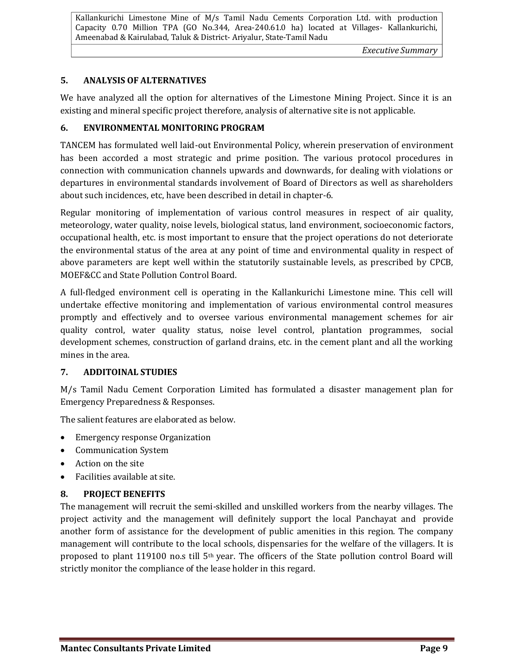*Executive Summary* 

# **5. ANALYSIS OF ALTERNATIVES**

We have analyzed all the option for alternatives of the Limestone Mining Project. Since it is an existing and mineral specific project therefore, analysis of alternative site is not applicable.

### **6. ENVIRONMENTAL MONITORING PROGRAM**

TANCEM has formulated well laid-out Environmental Policy, wherein preservation of environment has been accorded a most strategic and prime position. The various protocol procedures in connection with communication channels upwards and downwards, for dealing with violations or departures in environmental standards involvement of Board of Directors as well as shareholders about such incidences, etc, have been described in detail in chapter-6.

Regular monitoring of implementation of various control measures in respect of air quality, meteorology, water quality, noise levels, biological status, land environment, socioeconomic factors, occupational health, etc. is most important to ensure that the project operations do not deteriorate the environmental status of the area at any point of time and environmental quality in respect of above parameters are kept well within the statutorily sustainable levels, as prescribed by CPCB, MOEF&CC and State Pollution Control Board.

A full-fledged environment cell is operating in the Kallankurichi Limestone mine. This cell will undertake effective monitoring and implementation of various environmental control measures promptly and effectively and to oversee various environmental management schemes for air quality control, water quality status, noise level control, plantation programmes, social development schemes, construction of garland drains, etc. in the cement plant and all the working mines in the area.

# **7. ADDITOINAL STUDIES**

M/s Tamil Nadu Cement Corporation Limited has formulated a disaster management plan for Emergency Preparedness & Responses.

The salient features are elaborated as below.

- Emergency response Organization
- Communication System
- Action on the site
- Facilities available at site.

# **8. PROJECT BENEFITS**

The management will recruit the semi-skilled and unskilled workers from the nearby villages. The project activity and the management will definitely support the local Panchayat and provide another form of assistance for the development of public amenities in this region. The company management will contribute to the local schools, dispensaries for the welfare of the villagers. It is proposed to plant 119100 no.s till 5th year. The officers of the State pollution control Board will strictly monitor the compliance of the lease holder in this regard.